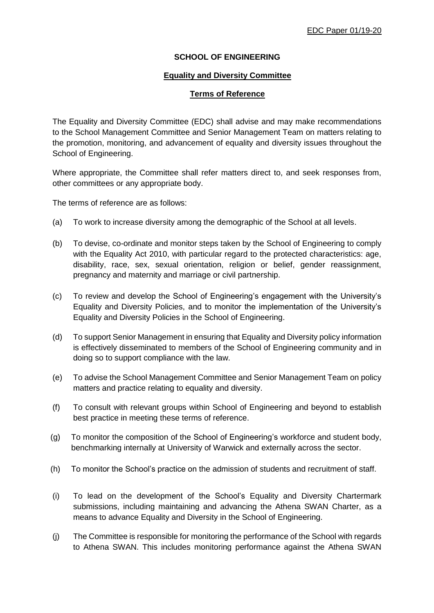## **SCHOOL OF ENGINEERING**

## **Equality and Diversity Committee**

## **Terms of Reference**

The Equality and Diversity Committee (EDC) shall advise and may make recommendations to the School Management Committee and Senior Management Team on matters relating to the promotion, monitoring, and advancement of equality and diversity issues throughout the School of Engineering.

Where appropriate, the Committee shall refer matters direct to, and seek responses from, other committees or any appropriate body.

The terms of reference are as follows:

- (a) To work to increase diversity among the demographic of the School at all levels.
- (b) To devise, co-ordinate and monitor steps taken by the School of Engineering to comply with the Equality Act 2010, with particular regard to the protected characteristics: age, disability, race, sex, sexual orientation, religion or belief, gender reassignment, pregnancy and maternity and marriage or civil partnership.
- (c) To review and develop the School of Engineering's engagement with the University's Equality and Diversity Policies, and to monitor the implementation of the University's Equality and Diversity Policies in the School of Engineering.
- (d) To support Senior Management in ensuring that Equality and Diversity policy information is effectively disseminated to members of the School of Engineering community and in doing so to support compliance with the law.
- (e) To advise the School Management Committee and Senior Management Team on policy matters and practice relating to equality and diversity.
- (f) To consult with relevant groups within School of Engineering and beyond to establish best practice in meeting these terms of reference.
- (g) To monitor the composition of the School of Engineering's workforce and student body, benchmarking internally at University of Warwick and externally across the sector.
- (h) To monitor the School's practice on the admission of students and recruitment of staff.
- (i) To lead on the development of the School's Equality and Diversity Chartermark submissions, including maintaining and advancing the Athena SWAN Charter, as a means to advance Equality and Diversity in the School of Engineering.
- (j) The Committee is responsible for monitoring the performance of the School with regards to Athena SWAN. This includes monitoring performance against the Athena SWAN